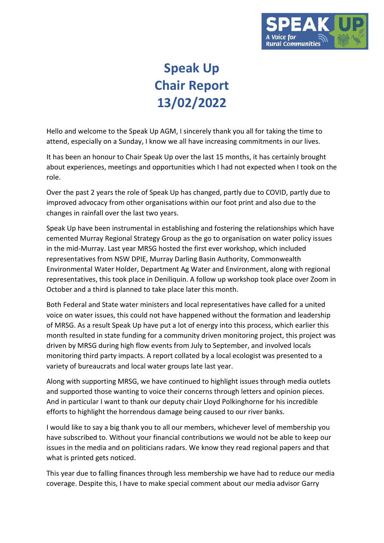

## **Speak Up Chair Report 13/02/2022**

Hello and welcome to the Speak Up AGM, I sincerely thank you all for taking the time to attend, especially on a Sunday, I know we all have increasing commitments in our lives.

It has been an honour to Chair Speak Up over the last 15 months, it has certainly brought about experiences, meetings and opportunities which I had not expected when I took on the role.

Over the past 2 years the role of Speak Up has changed, partly due to COVID, partly due to improved advocacy from other organisations within our foot print and also due to the changes in rainfall over the last two years.

Speak Up have been instrumental in establishing and fostering the relationships which have cemented Murray Regional Strategy Group as the go to organisation on water policy issues in the mid-Murray. Last year MRSG hosted the first ever workshop, which included representatives from NSW DPIE, Murray Darling Basin Authority, Commonwealth Environmental Water Holder, Department Ag Water and Environment, along with regional representatives, this took place in Deniliquin. A follow up workshop took place over Zoom in October and a third is planned to take place later this month.

Both Federal and State water ministers and local representatives have called for a united voice on water issues, this could not have happened without the formation and leadership of MRSG. As a result Speak Up have put a lot of energy into this process, which earlier this month resulted in state funding for a community driven monitoring project, this project was driven by MRSG during high flow events from July to September, and involved locals monitoring third party impacts. A report collated by a local ecologist was presented to a variety of bureaucrats and local water groups late last year.

Along with supporting MRSG, we have continued to highlight issues through media outlets and supported those wanting to voice their concerns through letters and opinion pieces. And in particular I want to thank our deputy chair Lloyd Polkinghorne for his incredible efforts to highlight the horrendous damage being caused to our river banks.

I would like to say a big thank you to all our members, whichever level of membership you have subscribed to. Without your financial contributions we would not be able to keep our issues in the media and on politicians radars. We know they read regional papers and that what is printed gets noticed.

This year due to falling finances through less membership we have had to reduce our media coverage. Despite this, I have to make special comment about our media advisor Garry